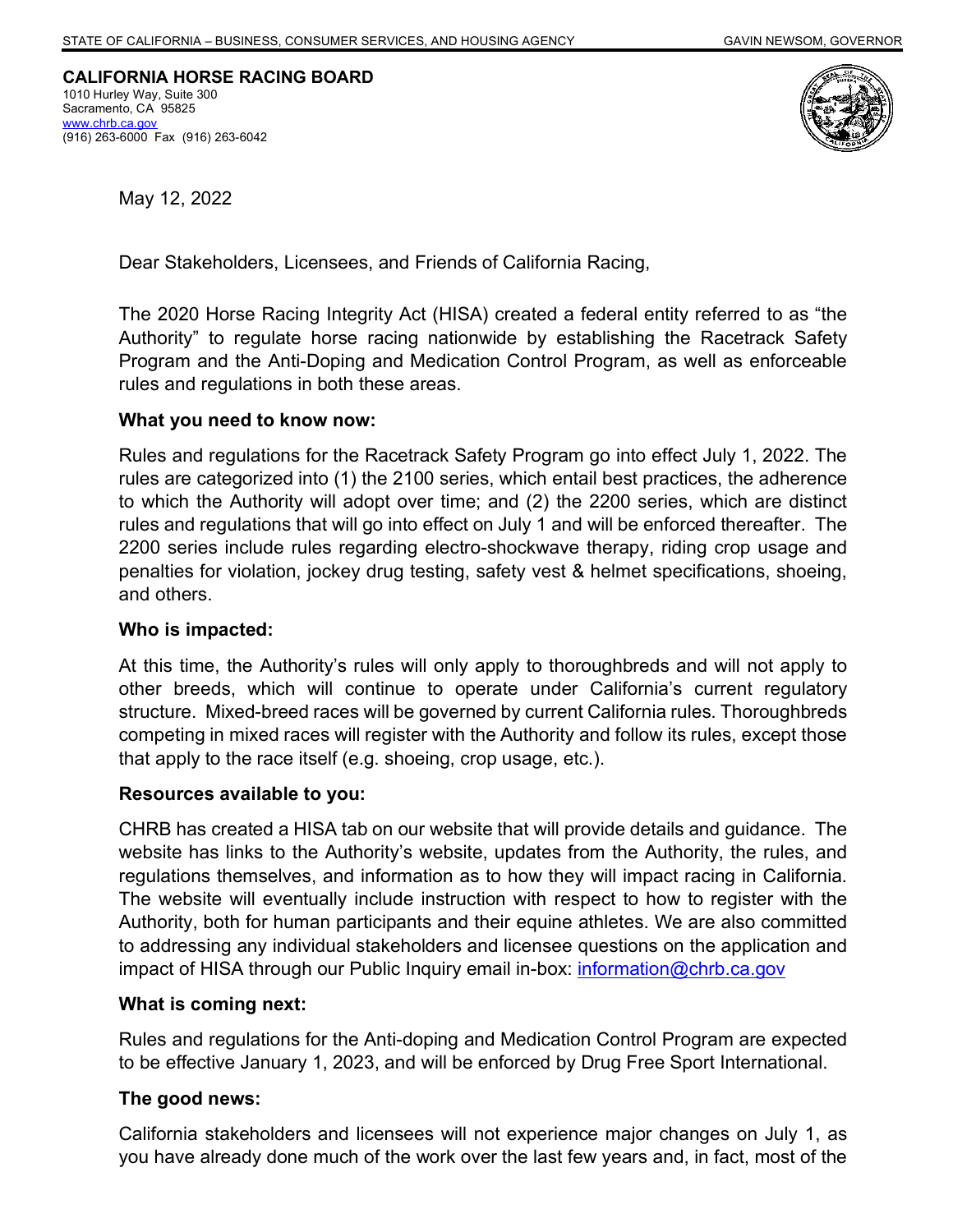**CALIFORNIA HORSE RACING BOARD** 1010 Hurley Way, Suite 300 Sacramento, CA 95825 [www.chrb.ca.gov](http://www.chrb.ca.gov/) (916) 263-6000 Fax (916) 263-6042



May 12, 2022

Dear Stakeholders, Licensees, and Friends of California Racing,

The 2020 Horse Racing Integrity Act (HISA) created a federal entity referred to as "the Authority" to regulate horse racing nationwide by establishing the Racetrack Safety Program and the Anti-Doping and Medication Control Program, as well as enforceable rules and regulations in both these areas.

## **What you need to know now:**

Rules and regulations for the Racetrack Safety Program go into effect July 1, 2022. The rules are categorized into (1) the 2100 series, which entail best practices, the adherence to which the Authority will adopt over time; and (2) the 2200 series, which are distinct rules and regulations that will go into effect on July 1 and will be enforced thereafter. The 2200 series include rules regarding electro-shockwave therapy, riding crop usage and penalties for violation, jockey drug testing, safety vest & helmet specifications, shoeing, and others.

# **Who is impacted:**

At this time, the Authority's rules will only apply to thoroughbreds and will not apply to other breeds, which will continue to operate under California's current regulatory structure. Mixed-breed races will be governed by current California rules. Thoroughbreds competing in mixed races will register with the Authority and follow its rules, except those that apply to the race itself (e.g. shoeing, crop usage, etc.).

# **Resources available to you:**

CHRB has created a HISA tab on our website that will provide details and guidance. The website has links to the Authority's website, updates from the Authority, the rules, and regulations themselves, and information as to how they will impact racing in California. The website will eventually include instruction with respect to how to register with the Authority, both for human participants and their equine athletes. We are also committed to addressing any individual stakeholders and licensee questions on the application and impact of HISA through our Public Inquiry email in-box: [information@chrb.ca.gov](mailto:information@chrb.ca.gov)

### **What is coming next:**

Rules and regulations for the Anti-doping and Medication Control Program are expected to be effective January 1, 2023, and will be enforced by Drug Free Sport International.

# **The good news:**

California stakeholders and licensees will not experience major changes on July 1, as you have already done much of the work over the last few years and, in fact, most of the